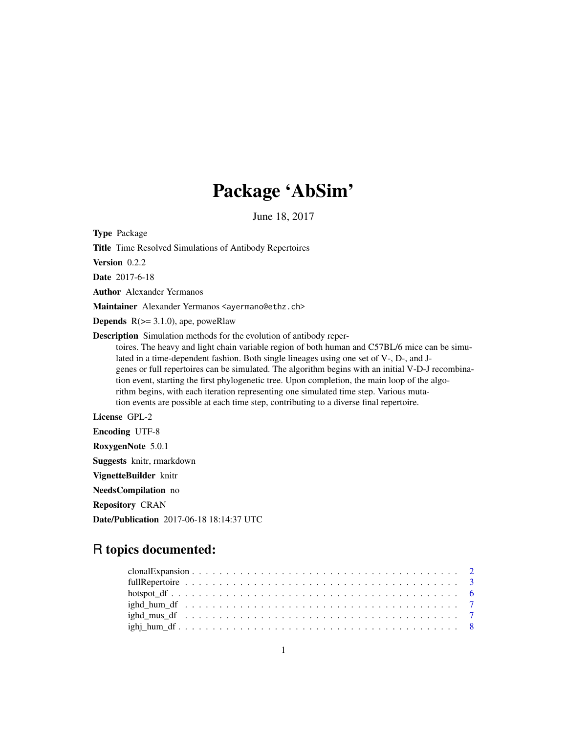# Package 'AbSim'

June 18, 2017

Type Package

Title Time Resolved Simulations of Antibody Repertoires

Version 0.2.2

Date 2017-6-18

Author Alexander Yermanos

Maintainer Alexander Yermanos <ayermano@ethz.ch>

**Depends**  $R$ ( $>= 3.1.0$ ), ape, poweRlaw

Description Simulation methods for the evolution of antibody reper-

toires. The heavy and light chain variable region of both human and C57BL/6 mice can be simulated in a time-dependent fashion. Both single lineages using one set of V-, D-, and Jgenes or full repertoires can be simulated. The algorithm begins with an initial V-D-J recombination event, starting the first phylogenetic tree. Upon completion, the main loop of the algorithm begins, with each iteration representing one simulated time step. Various mutation events are possible at each time step, contributing to a diverse final repertoire.

# License GPL-2

Encoding UTF-8

RoxygenNote 5.0.1

Suggests knitr, rmarkdown

VignetteBuilder knitr

NeedsCompilation no

Repository CRAN

Date/Publication 2017-06-18 18:14:37 UTC

# R topics documented: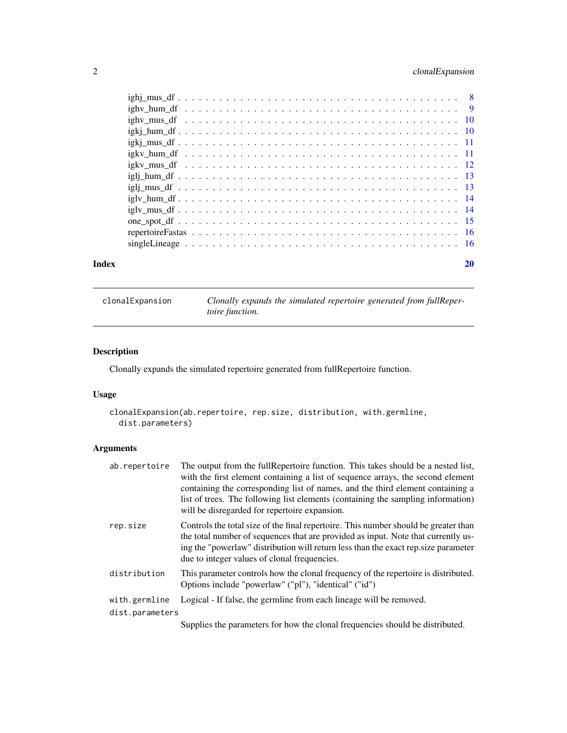# <span id="page-1-0"></span>2 clonalExpansion

| Index | 20 |
|-------|----|
|       |    |
|       |    |
|       |    |
|       |    |
|       |    |
|       |    |
|       |    |
|       |    |
|       |    |
|       |    |
|       |    |
|       |    |
|       |    |
|       |    |

clonalExpansion *Clonally expands the simulated repertoire generated from fullRepertoire function.*

# Description

Clonally expands the simulated repertoire generated from fullRepertoire function.

# Usage

```
clonalExpansion(ab.repertoire, rep.size, distribution, with.germline,
 dist.parameters)
```
# Arguments

| ab.repertoire   | The output from the full Repertoire function. This takes should be a nested list,<br>with the first element containing a list of sequence arrays, the second element<br>containing the corresponding list of names, and the third element containing a<br>list of trees. The following list elements (containing the sampling information)<br>will be disregarded for repertoire expansion. |
|-----------------|---------------------------------------------------------------------------------------------------------------------------------------------------------------------------------------------------------------------------------------------------------------------------------------------------------------------------------------------------------------------------------------------|
| rep.size        | Controls the total size of the final repertoire. This number should be greater than<br>the total number of sequences that are provided as input. Note that currently us-<br>ing the "powerlaw" distribution will return less than the exact rep.size parameter<br>due to integer values of clonal frequencies.                                                                              |
| distribution    | This parameter controls how the clonal frequency of the repertoire is distributed.<br>Options include "powerlaw" ("pl"), "identical" ("id")                                                                                                                                                                                                                                                 |
| with.germline   | Logical - If false, the germline from each lineage will be removed.                                                                                                                                                                                                                                                                                                                         |
| dist.parameters |                                                                                                                                                                                                                                                                                                                                                                                             |
|                 | Supplies the parameters for how the clonal frequencies should be distributed.                                                                                                                                                                                                                                                                                                               |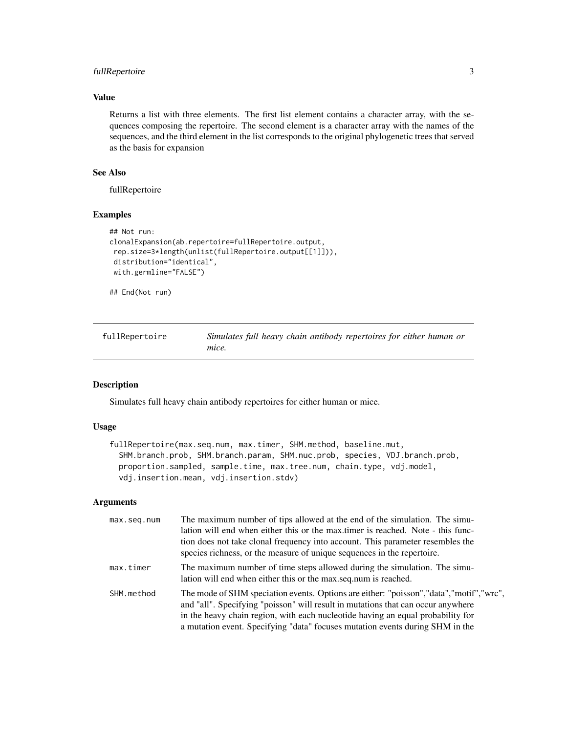# <span id="page-2-0"></span>fullRepertoire 3

# Value

Returns a list with three elements. The first list element contains a character array, with the sequences composing the repertoire. The second element is a character array with the names of the sequences, and the third element in the list corresponds to the original phylogenetic trees that served as the basis for expansion

# See Also

fullRepertoire

#### Examples

```
## Not run:
clonalExpansion(ab.repertoire=fullRepertoire.output,
rep.size=3*length(unlist(fullRepertoire.output[[1]])),
distribution="identical",
with.germline="FALSE")
```
## End(Not run)

| fullRepertoire | Simulates full heavy chain antibody repertoires for either human or |
|----------------|---------------------------------------------------------------------|
|                | mice.                                                               |

### Description

Simulates full heavy chain antibody repertoires for either human or mice.

#### Usage

```
fullRepertoire(max.seq.num, max.timer, SHM.method, baseline.mut,
  SHM.branch.prob, SHM.branch.param, SHM.nuc.prob, species, VDJ.branch.prob,
  proportion.sampled, sample.time, max.tree.num, chain.type, vdj.model,
 vdj.insertion.mean, vdj.insertion.stdv)
```
#### Arguments

| max.seq.num | The maximum number of tips allowed at the end of the simulation. The simu-<br>lation will end when either this or the max timer is reached. Note - this func-<br>tion does not take clonal frequency into account. This parameter resembles the<br>species richness, or the measure of unique sequences in the repertoire.                        |
|-------------|---------------------------------------------------------------------------------------------------------------------------------------------------------------------------------------------------------------------------------------------------------------------------------------------------------------------------------------------------|
| max.timer   | The maximum number of time steps allowed during the simulation. The simu-<br>lation will end when either this or the max seq num is reached.                                                                                                                                                                                                      |
| SHM.method  | The mode of SHM speciation events. Options are either: "poisson", "data", "motif", "wrc",<br>and "all". Specifying "poisson" will result in mutations that can occur anywhere<br>in the heavy chain region, with each nucleotide having an equal probability for<br>a mutation event. Specifying "data" focuses mutation events during SHM in the |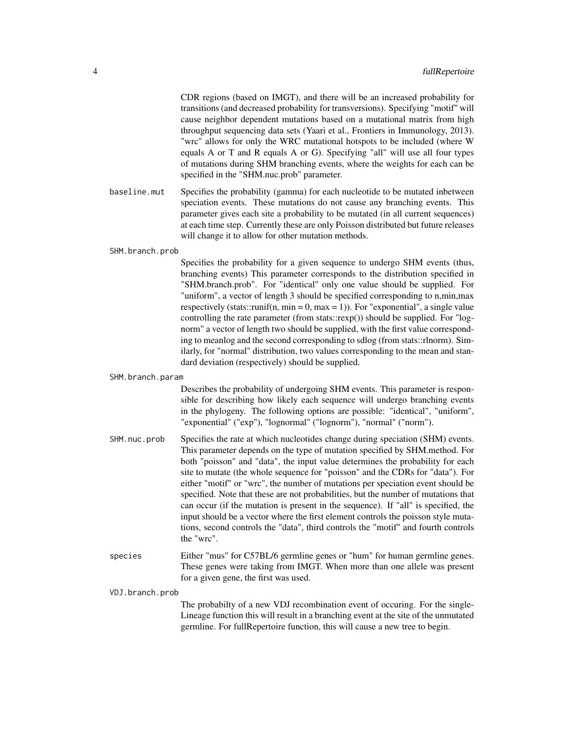CDR regions (based on IMGT), and there will be an increased probability for transitions (and decreased probability for transversions). Specifying "motif" will cause neighbor dependent mutations based on a mutational matrix from high throughput sequencing data sets (Yaari et al., Frontiers in Immunology, 2013). "wrc" allows for only the WRC mutational hotspots to be included (where W equals A or T and R equals A or G). Specifying "all" will use all four types of mutations during SHM branching events, where the weights for each can be specified in the "SHM.nuc.prob" parameter.

baseline.mut Specifies the probability (gamma) for each nucleotide to be mutated inbetween speciation events. These mutations do not cause any branching events. This parameter gives each site a probability to be mutated (in all current sequences) at each time step. Currently these are only Poisson distributed but future releases will change it to allow for other mutation methods.

#### SHM.branch.prob

Specifies the probability for a given sequence to undergo SHM events (thus, branching events) This parameter corresponds to the distribution specified in "SHM.branch.prob". For "identical" only one value should be supplied. For "uniform", a vector of length 3 should be specified corresponding to n,min,max respectively (stats::runif(n, min = 0, max = 1)). For "exponential", a single value controlling the rate parameter (from stats::rexp()) should be supplied. For "lognorm" a vector of length two should be supplied, with the first value corresponding to meanlog and the second corresponding to sdlog (from stats::rlnorm). Similarly, for "normal" distribution, two values corresponding to the mean and standard deviation (respectively) should be supplied.

#### SHM.branch.param

Describes the probability of undergoing SHM events. This parameter is responsible for describing how likely each sequence will undergo branching events in the phylogeny. The following options are possible: "identical", "uniform", "exponential" ("exp"), "lognormal" ("lognorm"), "normal" ("norm").

- SHM.nuc.prob Specifies the rate at which nucleotides change during speciation (SHM) events. This parameter depends on the type of mutation specified by SHM.method. For both "poisson" and "data", the input value determines the probability for each site to mutate (the whole sequence for "poisson" and the CDRs for "data"). For either "motif" or "wrc", the number of mutations per speciation event should be specified. Note that these are not probabilities, but the number of mutations that can occur (if the mutation is present in the sequence). If "all" is specified, the input should be a vector where the first element controls the poisson style mutations, second controls the "data", third controls the "motif" and fourth controls the "wrc".
- species Either "mus" for C57BL/6 germline genes or "hum" for human germline genes. These genes were taking from IMGT. When more than one allele was present for a given gene, the first was used.

VDJ.branch.prob

The probabilty of a new VDJ recombination event of occuring. For the single-Lineage function this will result in a branching event at the site of the unmutated germline. For fullRepertoire function, this will cause a new tree to begin.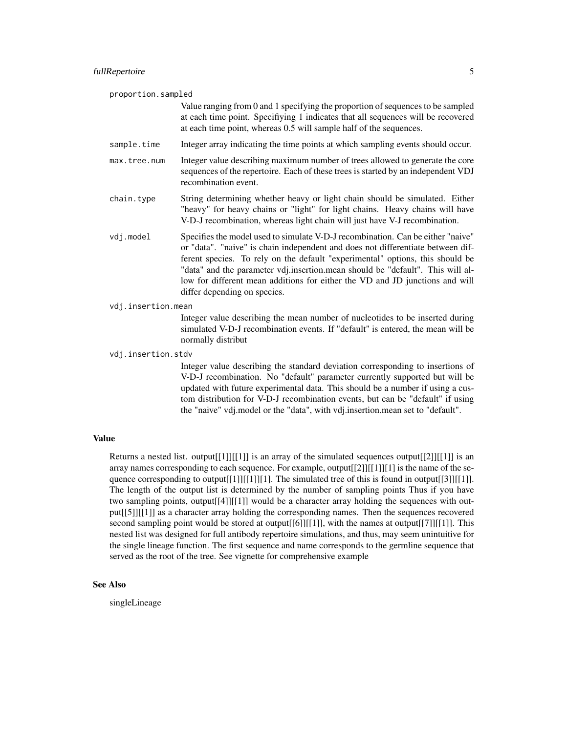proportion.sampled Value ranging from 0 and 1 specifying the proportion of sequences to be sampled at each time point. Specifiying 1 indicates that all sequences will be recovered at each time point, whereas 0.5 will sample half of the sequences. sample. time Integer array indicating the time points at which sampling events should occur. max.tree.num Integer value describing maximum number of trees allowed to generate the core sequences of the repertoire. Each of these trees is started by an independent VDJ recombination event.

- chain.type String determining whether heavy or light chain should be simulated. Either "heavy" for heavy chains or "light" for light chains. Heavy chains will have V-D-J recombination, whereas light chain will just have V-J recombination.
- vdj.model Specifies the model used to simulate V-D-J recombination. Can be either "naive" or "data". "naive" is chain independent and does not differentiate between different species. To rely on the default "experimental" options, this should be "data" and the parameter vdj.insertion.mean should be "default". This will allow for different mean additions for either the VD and JD junctions and will differ depending on species.
- vdj.insertion.mean

Integer value describing the mean number of nucleotides to be inserted during simulated V-D-J recombination events. If "default" is entered, the mean will be normally distribut

vdj.insertion.stdv

Integer value describing the standard deviation corresponding to insertions of V-D-J recombination. No "default" parameter currently supported but will be updated with future experimental data. This should be a number if using a custom distribution for V-D-J recombination events, but can be "default" if using the "naive" vdj.model or the "data", with vdj.insertion.mean set to "default".

# Value

Returns a nested list. output [[1]][[1]] is an array of the simulated sequences output [[2]][[1]] is an array names corresponding to each sequence. For example, output  $[[2]][[1]]$  is the name of the sequence corresponding to output $[[1]][[1]]$ . The simulated tree of this is found in output[[3]][[1]]. The length of the output list is determined by the number of sampling points Thus if you have two sampling points, output[[4]][[1]] would be a character array holding the sequences with output[[5]][[1]] as a character array holding the corresponding names. Then the sequences recovered second sampling point would be stored at output[[6]][[1]], with the names at output[[7]][[1]]. This nested list was designed for full antibody repertoire simulations, and thus, may seem unintuitive for the single lineage function. The first sequence and name corresponds to the germline sequence that served as the root of the tree. See vignette for comprehensive example

# See Also

singleLineage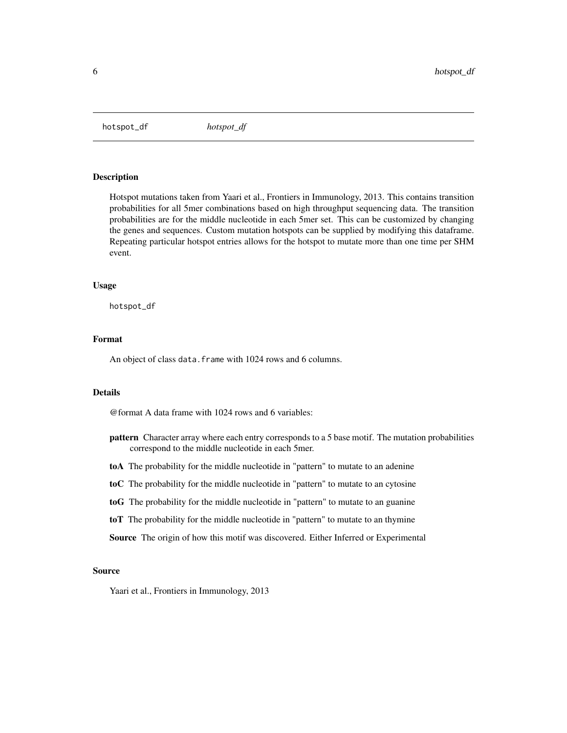<span id="page-5-0"></span>hotspot\_df *hotspot\_df*

# Description

Hotspot mutations taken from Yaari et al., Frontiers in Immunology, 2013. This contains transition probabilities for all 5mer combinations based on high throughput sequencing data. The transition probabilities are for the middle nucleotide in each 5mer set. This can be customized by changing the genes and sequences. Custom mutation hotspots can be supplied by modifying this dataframe. Repeating particular hotspot entries allows for the hotspot to mutate more than one time per SHM event.

#### Usage

hotspot\_df

### Format

An object of class data. frame with 1024 rows and 6 columns.

# Details

@format A data frame with 1024 rows and 6 variables:

- pattern Character array where each entry corresponds to a 5 base motif. The mutation probabilities correspond to the middle nucleotide in each 5mer.
- toA The probability for the middle nucleotide in "pattern" to mutate to an adenine
- toC The probability for the middle nucleotide in "pattern" to mutate to an cytosine
- toG The probability for the middle nucleotide in "pattern" to mutate to an guanine
- toT The probability for the middle nucleotide in "pattern" to mutate to an thymine

Source The origin of how this motif was discovered. Either Inferred or Experimental

#### Source

Yaari et al., Frontiers in Immunology, 2013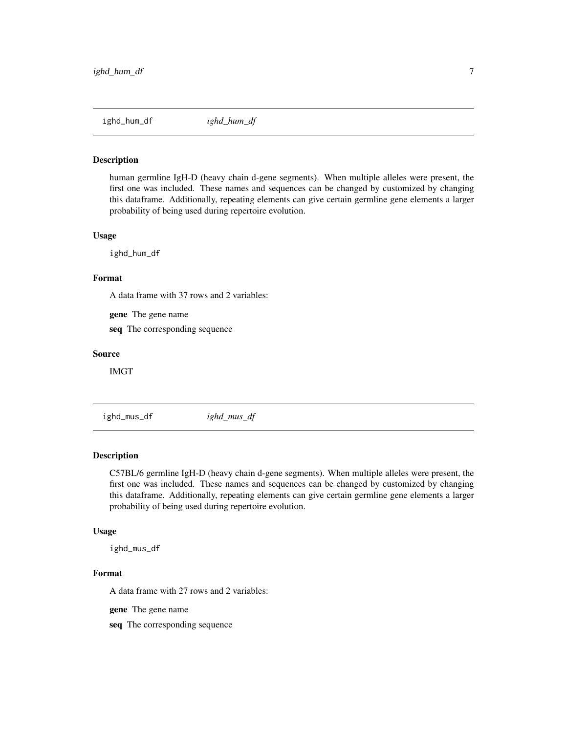<span id="page-6-0"></span>

#### Description

human germline IgH-D (heavy chain d-gene segments). When multiple alleles were present, the first one was included. These names and sequences can be changed by customized by changing this dataframe. Additionally, repeating elements can give certain germline gene elements a larger probability of being used during repertoire evolution.

#### Usage

ighd\_hum\_df

#### Format

A data frame with 37 rows and 2 variables:

gene The gene name

seq The corresponding sequence

#### Source

IMGT

ighd\_mus\_df *ighd\_mus\_df*

# Description

C57BL/6 germline IgH-D (heavy chain d-gene segments). When multiple alleles were present, the first one was included. These names and sequences can be changed by customized by changing this dataframe. Additionally, repeating elements can give certain germline gene elements a larger probability of being used during repertoire evolution.

#### Usage

ighd\_mus\_df

#### Format

A data frame with 27 rows and 2 variables:

gene The gene name

seq The corresponding sequence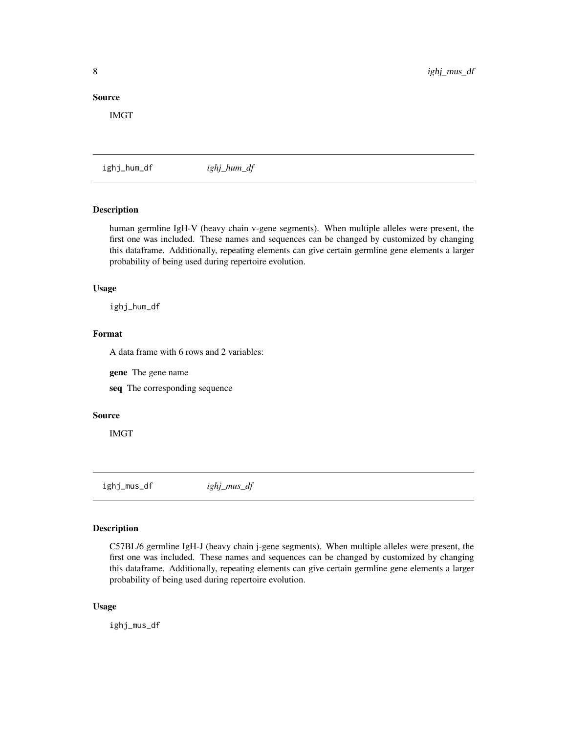#### <span id="page-7-0"></span>Source

IMGT

ighj\_hum\_df *ighj\_hum\_df*

# Description

human germline IgH-V (heavy chain v-gene segments). When multiple alleles were present, the first one was included. These names and sequences can be changed by customized by changing this dataframe. Additionally, repeating elements can give certain germline gene elements a larger probability of being used during repertoire evolution.

#### Usage

ighj\_hum\_df

# Format

A data frame with 6 rows and 2 variables:

gene The gene name

seq The corresponding sequence

# Source

IMGT

ighj\_mus\_df *ighj\_mus\_df*

#### Description

C57BL/6 germline IgH-J (heavy chain j-gene segments). When multiple alleles were present, the first one was included. These names and sequences can be changed by customized by changing this dataframe. Additionally, repeating elements can give certain germline gene elements a larger probability of being used during repertoire evolution.

#### Usage

ighj\_mus\_df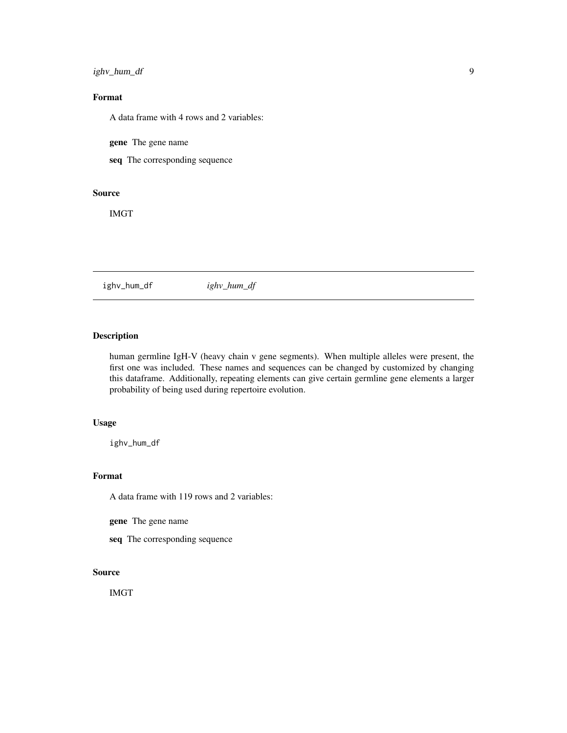# <span id="page-8-0"></span>ighv\_hum\_df 9

# Format

A data frame with 4 rows and 2 variables:

gene The gene name

seq The corresponding sequence

# Source

IMGT

ighv\_hum\_df *ighv\_hum\_df*

# Description

human germline IgH-V (heavy chain v gene segments). When multiple alleles were present, the first one was included. These names and sequences can be changed by customized by changing this dataframe. Additionally, repeating elements can give certain germline gene elements a larger probability of being used during repertoire evolution.

# Usage

ighv\_hum\_df

# Format

A data frame with 119 rows and 2 variables:

gene The gene name

seq The corresponding sequence

# Source

IMGT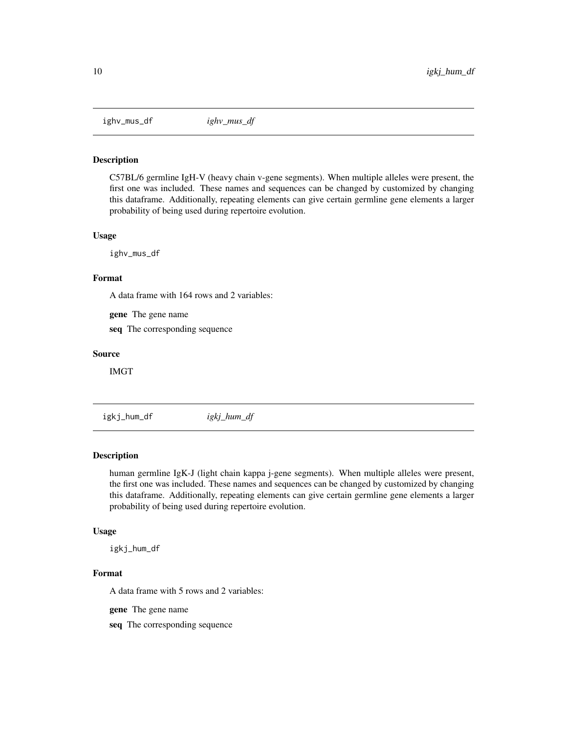<span id="page-9-0"></span>ighv\_mus\_df *ighv\_mus\_df*

#### Description

C57BL/6 germline IgH-V (heavy chain v-gene segments). When multiple alleles were present, the first one was included. These names and sequences can be changed by customized by changing this dataframe. Additionally, repeating elements can give certain germline gene elements a larger probability of being used during repertoire evolution.

#### Usage

ighv\_mus\_df

#### Format

A data frame with 164 rows and 2 variables:

gene The gene name

seq The corresponding sequence

#### Source

IMGT

igkj\_hum\_df *igkj\_hum\_df*

# Description

human germline IgK-J (light chain kappa j-gene segments). When multiple alleles were present, the first one was included. These names and sequences can be changed by customized by changing this dataframe. Additionally, repeating elements can give certain germline gene elements a larger probability of being used during repertoire evolution.

#### Usage

igkj\_hum\_df

#### Format

A data frame with 5 rows and 2 variables:

gene The gene name

seq The corresponding sequence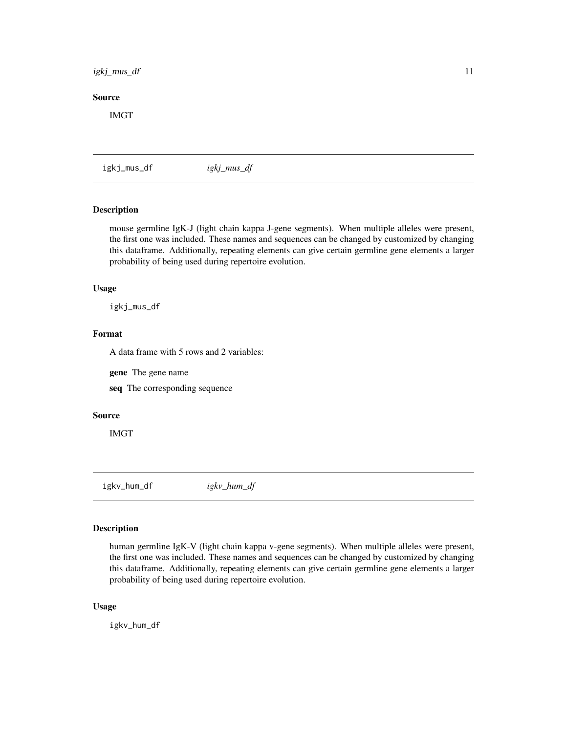# <span id="page-10-0"></span>igkj\_mus\_df 11

# Source

IMGT

igkj\_mus\_df *igkj\_mus\_df*

# Description

mouse germline IgK-J (light chain kappa J-gene segments). When multiple alleles were present, the first one was included. These names and sequences can be changed by customized by changing this dataframe. Additionally, repeating elements can give certain germline gene elements a larger probability of being used during repertoire evolution.

#### Usage

igkj\_mus\_df

# Format

A data frame with 5 rows and 2 variables:

gene The gene name

seq The corresponding sequence

# Source

IMGT

igkv\_hum\_df *igkv\_hum\_df*

#### Description

human germline IgK-V (light chain kappa v-gene segments). When multiple alleles were present, the first one was included. These names and sequences can be changed by customized by changing this dataframe. Additionally, repeating elements can give certain germline gene elements a larger probability of being used during repertoire evolution.

#### Usage

igkv\_hum\_df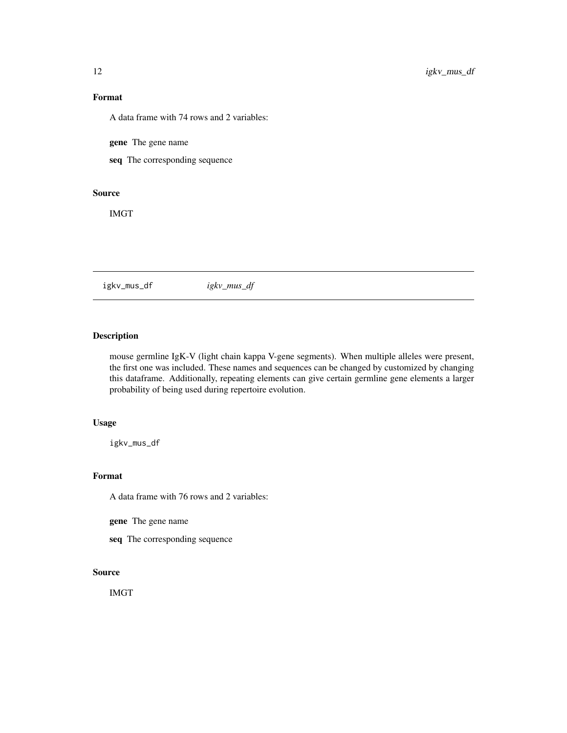# <span id="page-11-0"></span>Format

A data frame with 74 rows and 2 variables:

gene The gene name

seq The corresponding sequence

# Source

IMGT

igkv\_mus\_df *igkv\_mus\_df*

# Description

mouse germline IgK-V (light chain kappa V-gene segments). When multiple alleles were present, the first one was included. These names and sequences can be changed by customized by changing this dataframe. Additionally, repeating elements can give certain germline gene elements a larger probability of being used during repertoire evolution.

# Usage

igkv\_mus\_df

# Format

A data frame with 76 rows and 2 variables:

gene The gene name

seq The corresponding sequence

# Source

IMGT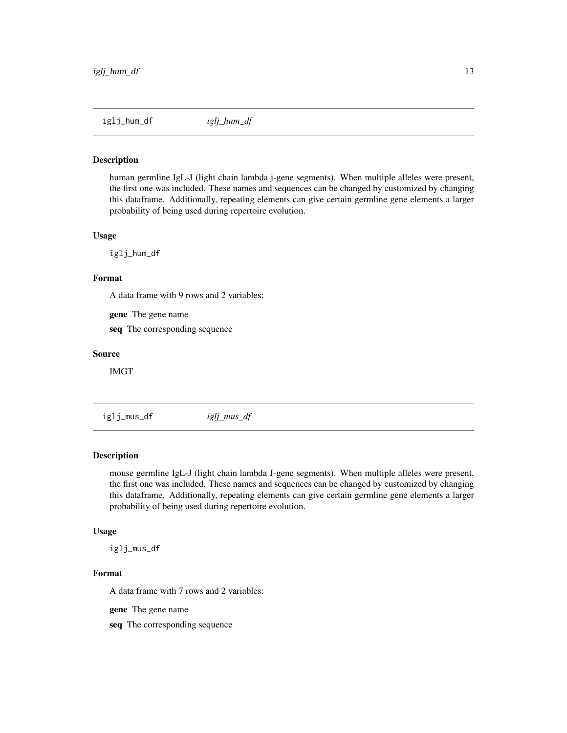<span id="page-12-0"></span>

#### Description

human germline IgL-J (light chain lambda j-gene segments). When multiple alleles were present, the first one was included. These names and sequences can be changed by customized by changing this dataframe. Additionally, repeating elements can give certain germline gene elements a larger probability of being used during repertoire evolution.

#### Usage

iglj\_hum\_df

# Format

A data frame with 9 rows and 2 variables:

gene The gene name

seq The corresponding sequence

#### Source

IMGT

iglj\_mus\_df *iglj\_mus\_df*

# Description

mouse germline IgL-J (light chain lambda J-gene segments). When multiple alleles were present, the first one was included. These names and sequences can be changed by customized by changing this dataframe. Additionally, repeating elements can give certain germline gene elements a larger probability of being used during repertoire evolution.

#### Usage

iglj\_mus\_df

#### Format

A data frame with 7 rows and 2 variables:

gene The gene name

seq The corresponding sequence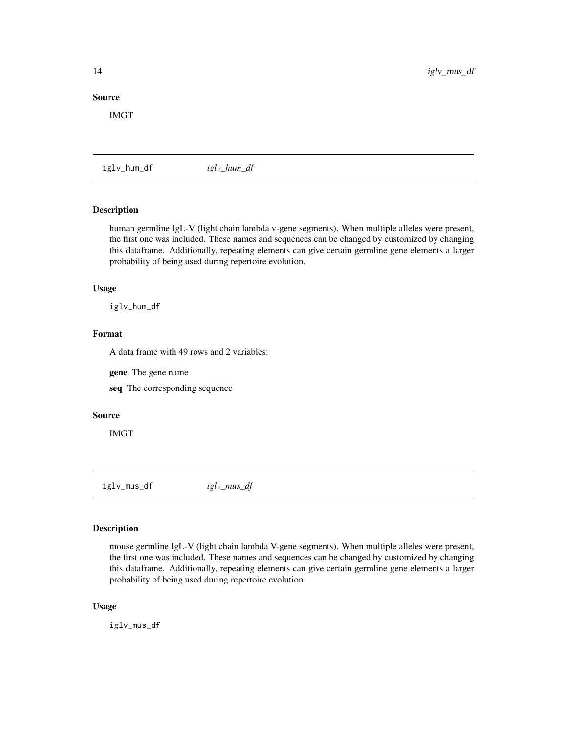# <span id="page-13-0"></span>Source

IMGT

iglv\_hum\_df *iglv\_hum\_df*

# Description

human germline IgL-V (light chain lambda v-gene segments). When multiple alleles were present, the first one was included. These names and sequences can be changed by customized by changing this dataframe. Additionally, repeating elements can give certain germline gene elements a larger probability of being used during repertoire evolution.

#### Usage

iglv\_hum\_df

# Format

A data frame with 49 rows and 2 variables:

gene The gene name

seq The corresponding sequence

# Source

IMGT

iglv\_mus\_df *iglv\_mus\_df*

#### Description

mouse germline IgL-V (light chain lambda V-gene segments). When multiple alleles were present, the first one was included. These names and sequences can be changed by customized by changing this dataframe. Additionally, repeating elements can give certain germline gene elements a larger probability of being used during repertoire evolution.

# Usage

iglv\_mus\_df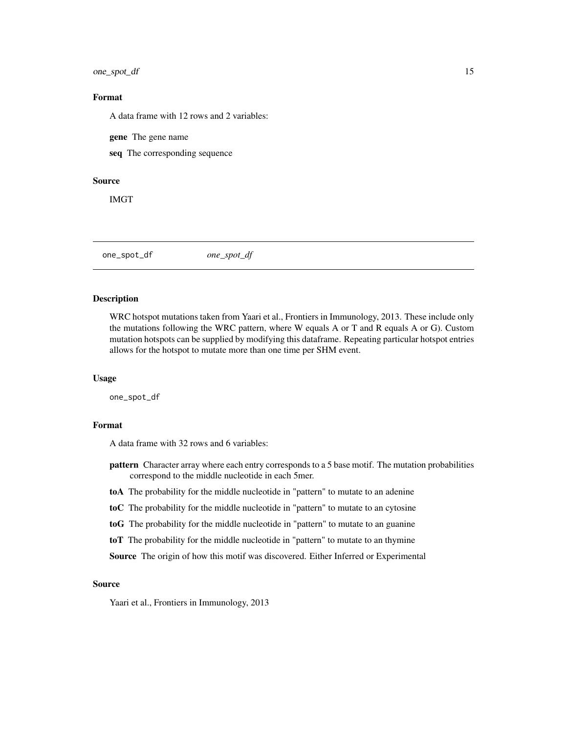<span id="page-14-0"></span>one\_spot\_df 15

# Format

A data frame with 12 rows and 2 variables:

gene The gene name

seq The corresponding sequence

#### Source

IMGT

one\_spot\_df *one\_spot\_df*

#### Description

WRC hotspot mutations taken from Yaari et al., Frontiers in Immunology, 2013. These include only the mutations following the WRC pattern, where W equals A or T and R equals A or G). Custom mutation hotspots can be supplied by modifying this dataframe. Repeating particular hotspot entries allows for the hotspot to mutate more than one time per SHM event.

#### Usage

one\_spot\_df

#### Format

A data frame with 32 rows and 6 variables:

pattern Character array where each entry corresponds to a 5 base motif. The mutation probabilities correspond to the middle nucleotide in each 5mer.

toA The probability for the middle nucleotide in "pattern" to mutate to an adenine

toC The probability for the middle nucleotide in "pattern" to mutate to an cytosine

toG The probability for the middle nucleotide in "pattern" to mutate to an guanine

toT The probability for the middle nucleotide in "pattern" to mutate to an thymine

Source The origin of how this motif was discovered. Either Inferred or Experimental

#### Source

Yaari et al., Frontiers in Immunology, 2013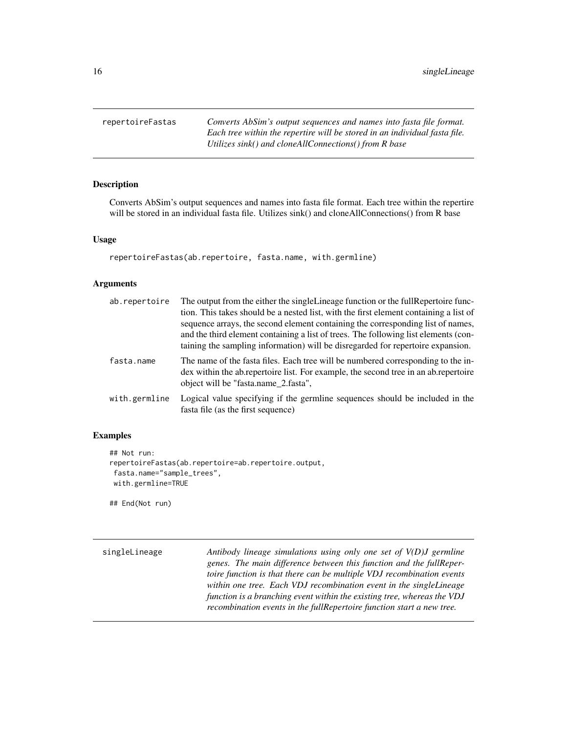<span id="page-15-0"></span>repertoireFastas *Converts AbSim's output sequences and names into fasta file format. Each tree within the repertire will be stored in an individual fasta file. Utilizes sink() and cloneAllConnections() from R base*

# Description

Converts AbSim's output sequences and names into fasta file format. Each tree within the repertire will be stored in an individual fasta file. Utilizes sink() and cloneAllConnections() from R base

# Usage

repertoireFastas(ab.repertoire, fasta.name, with.germline)

#### Arguments

| ab.repertoire | The output from the either the singleLineage function or the fullRepertoire func-<br>tion. This takes should be a nested list, with the first element containing a list of<br>sequence arrays, the second element containing the corresponding list of names,<br>and the third element containing a list of trees. The following list elements (con-<br>taining the sampling information) will be disregarded for repertoire expansion. |
|---------------|-----------------------------------------------------------------------------------------------------------------------------------------------------------------------------------------------------------------------------------------------------------------------------------------------------------------------------------------------------------------------------------------------------------------------------------------|
| fasta.name    | The name of the fasta files. Each tree will be numbered corresponding to the in-<br>dex within the ab repertoire list. For example, the second tree in an ab repertoire<br>object will be "fasta.name 2.fasta",                                                                                                                                                                                                                         |
| with.germline | Logical value specifying if the germline sequences should be included in the<br>fasta file (as the first sequence)                                                                                                                                                                                                                                                                                                                      |

# Examples

```
## Not run:
repertoireFastas(ab.repertoire=ab.repertoire.output,
fasta.name="sample_trees",
 with.germline=TRUE
```
## End(Not run)

singleLineage *Antibody lineage simulations using only one set of V(D)J germline genes. The main difference between this function and the fullRepertoire function is that there can be multiple VDJ recombination events within one tree. Each VDJ recombination event in the singleLineage function is a branching event within the existing tree, whereas the VDJ recombination events in the fullRepertoire function start a new tree.*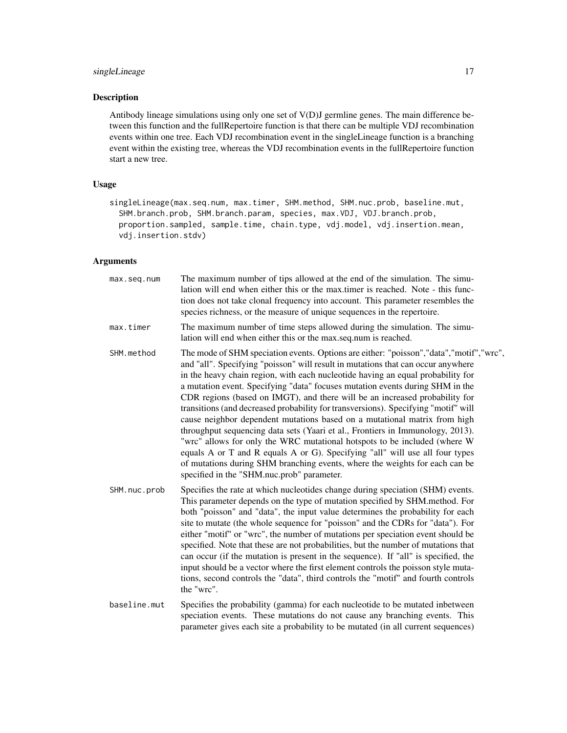# singleLineage 17

# Description

Antibody lineage simulations using only one set of V(D)J germline genes. The main difference between this function and the fullRepertoire function is that there can be multiple VDJ recombination events within one tree. Each VDJ recombination event in the singleLineage function is a branching event within the existing tree, whereas the VDJ recombination events in the fullRepertoire function start a new tree.

# Usage

singleLineage(max.seq.num, max.timer, SHM.method, SHM.nuc.prob, baseline.mut, SHM.branch.prob, SHM.branch.param, species, max.VDJ, VDJ.branch.prob, proportion.sampled, sample.time, chain.type, vdj.model, vdj.insertion.mean, vdj.insertion.stdv)

# Arguments

| max.seq.num  | The maximum number of tips allowed at the end of the simulation. The simu-<br>lation will end when either this or the max timer is reached. Note - this func-<br>tion does not take clonal frequency into account. This parameter resembles the<br>species richness, or the measure of unique sequences in the repertoire.                                                                                                                                                                                                                                                                                                                                                                                                                                                                                                                                                                                                                                                   |
|--------------|------------------------------------------------------------------------------------------------------------------------------------------------------------------------------------------------------------------------------------------------------------------------------------------------------------------------------------------------------------------------------------------------------------------------------------------------------------------------------------------------------------------------------------------------------------------------------------------------------------------------------------------------------------------------------------------------------------------------------------------------------------------------------------------------------------------------------------------------------------------------------------------------------------------------------------------------------------------------------|
| max.timer    | The maximum number of time steps allowed during the simulation. The simu-<br>lation will end when either this or the max.seq.num is reached.                                                                                                                                                                                                                                                                                                                                                                                                                                                                                                                                                                                                                                                                                                                                                                                                                                 |
| SHM.method   | The mode of SHM speciation events. Options are either: "poisson","data","motif","wrc",<br>and "all". Specifying "poisson" will result in mutations that can occur anywhere<br>in the heavy chain region, with each nucleotide having an equal probability for<br>a mutation event. Specifying "data" focuses mutation events during SHM in the<br>CDR regions (based on IMGT), and there will be an increased probability for<br>transitions (and decreased probability for transversions). Specifying "motif" will<br>cause neighbor dependent mutations based on a mutational matrix from high<br>throughput sequencing data sets (Yaari et al., Frontiers in Immunology, 2013).<br>"wrc" allows for only the WRC mutational hotspots to be included (where W<br>equals A or T and R equals A or G). Specifying "all" will use all four types<br>of mutations during SHM branching events, where the weights for each can be<br>specified in the "SHM.nuc.prob" parameter. |
| SHM.nuc.prob | Specifies the rate at which nucleotides change during speciation (SHM) events.<br>This parameter depends on the type of mutation specified by SHM.method. For<br>both "poisson" and "data", the input value determines the probability for each<br>site to mutate (the whole sequence for "poisson" and the CDRs for "data"). For<br>either "motif" or "wrc", the number of mutations per speciation event should be<br>specified. Note that these are not probabilities, but the number of mutations that<br>can occur (if the mutation is present in the sequence). If "all" is specified, the<br>input should be a vector where the first element controls the poisson style muta-<br>tions, second controls the "data", third controls the "motif" and fourth controls<br>the "wrc".                                                                                                                                                                                     |
| baseline.mut | Specifies the probability (gamma) for each nucleotide to be mutated inbetween<br>speciation events. These mutations do not cause any branching events. This<br>parameter gives each site a probability to be mutated (in all current sequences)                                                                                                                                                                                                                                                                                                                                                                                                                                                                                                                                                                                                                                                                                                                              |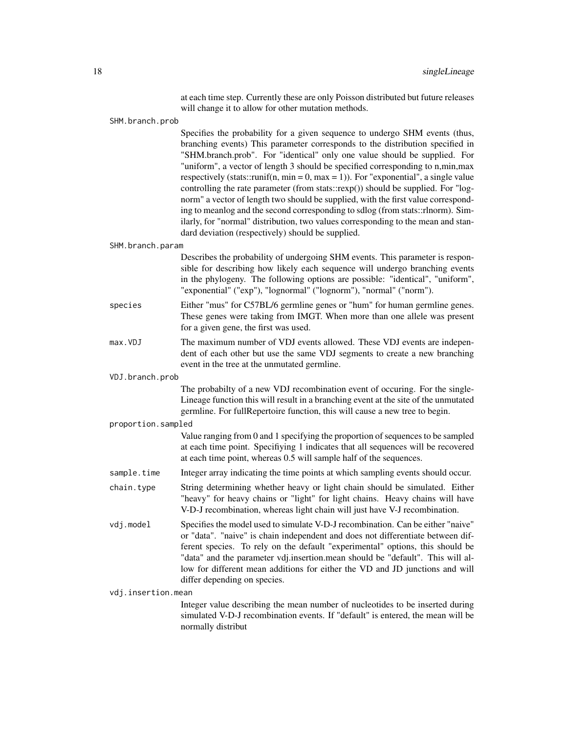|                    | at each time step. Currently these are only Poisson distributed but future releases<br>will change it to allow for other mutation methods.                                                                                                                                                                                                                                                                                                                                                                                                                                                                                                                                                                                                                                                                                |
|--------------------|---------------------------------------------------------------------------------------------------------------------------------------------------------------------------------------------------------------------------------------------------------------------------------------------------------------------------------------------------------------------------------------------------------------------------------------------------------------------------------------------------------------------------------------------------------------------------------------------------------------------------------------------------------------------------------------------------------------------------------------------------------------------------------------------------------------------------|
| SHM.branch.prob    |                                                                                                                                                                                                                                                                                                                                                                                                                                                                                                                                                                                                                                                                                                                                                                                                                           |
|                    | Specifies the probability for a given sequence to undergo SHM events (thus,<br>branching events) This parameter corresponds to the distribution specified in<br>"SHM.branch.prob". For "identical" only one value should be supplied. For<br>"uniform", a vector of length 3 should be specified corresponding to n,min,max<br>respectively (stats::runif(n, min = 0, max = 1)). For "exponential", a single value<br>controlling the rate parameter (from stats::rexp()) should be supplied. For "log-<br>norm" a vector of length two should be supplied, with the first value correspond-<br>ing to meanlog and the second corresponding to sdlog (from stats::rlnorm). Sim-<br>ilarly, for "normal" distribution, two values corresponding to the mean and stan-<br>dard deviation (respectively) should be supplied. |
| SHM.branch.param   |                                                                                                                                                                                                                                                                                                                                                                                                                                                                                                                                                                                                                                                                                                                                                                                                                           |
|                    | Describes the probability of undergoing SHM events. This parameter is respon-<br>sible for describing how likely each sequence will undergo branching events<br>in the phylogeny. The following options are possible: "identical", "uniform",<br>"exponential" ("exp"), "lognormal" ("lognorm"), "normal" ("norm").                                                                                                                                                                                                                                                                                                                                                                                                                                                                                                       |
| species            | Either "mus" for C57BL/6 germline genes or "hum" for human germline genes.<br>These genes were taking from IMGT. When more than one allele was present<br>for a given gene, the first was used.                                                                                                                                                                                                                                                                                                                                                                                                                                                                                                                                                                                                                           |
| max. VDJ           | The maximum number of VDJ events allowed. These VDJ events are indepen-<br>dent of each other but use the same VDJ segments to create a new branching<br>event in the tree at the unmutated germline.                                                                                                                                                                                                                                                                                                                                                                                                                                                                                                                                                                                                                     |
| VDJ.branch.prob    |                                                                                                                                                                                                                                                                                                                                                                                                                                                                                                                                                                                                                                                                                                                                                                                                                           |
|                    | The probabilty of a new VDJ recombination event of occuring. For the single-<br>Lineage function this will result in a branching event at the site of the unmutated<br>germline. For fullRepertoire function, this will cause a new tree to begin.                                                                                                                                                                                                                                                                                                                                                                                                                                                                                                                                                                        |
| proportion.sampled |                                                                                                                                                                                                                                                                                                                                                                                                                                                                                                                                                                                                                                                                                                                                                                                                                           |
|                    | Value ranging from 0 and 1 specifying the proportion of sequences to be sampled<br>at each time point. Specifiying 1 indicates that all sequences will be recovered<br>at each time point, whereas 0.5 will sample half of the sequences.                                                                                                                                                                                                                                                                                                                                                                                                                                                                                                                                                                                 |
| sample.time        | Integer array indicating the time points at which sampling events should occur.                                                                                                                                                                                                                                                                                                                                                                                                                                                                                                                                                                                                                                                                                                                                           |
| chain.type         | String determining whether heavy or light chain should be simulated. Either<br>"heavy" for heavy chains or "light" for light chains. Heavy chains will have<br>V-D-J recombination, whereas light chain will just have V-J recombination.                                                                                                                                                                                                                                                                                                                                                                                                                                                                                                                                                                                 |
| vdj.model          | Specifies the model used to simulate V-D-J recombination. Can be either "naive"<br>or "data". "naive" is chain independent and does not differentiate between dif-<br>ferent species. To rely on the default "experimental" options, this should be<br>"data" and the parameter vdj.insertion.mean should be "default". This will al-<br>low for different mean additions for either the VD and JD junctions and will<br>differ depending on species.                                                                                                                                                                                                                                                                                                                                                                     |
| vdj.insertion.mean |                                                                                                                                                                                                                                                                                                                                                                                                                                                                                                                                                                                                                                                                                                                                                                                                                           |
|                    | Integer value describing the mean number of nucleotides to be inserted during<br>simulated V-D-J recombination events. If "default" is entered, the mean will be<br>normally distribut                                                                                                                                                                                                                                                                                                                                                                                                                                                                                                                                                                                                                                    |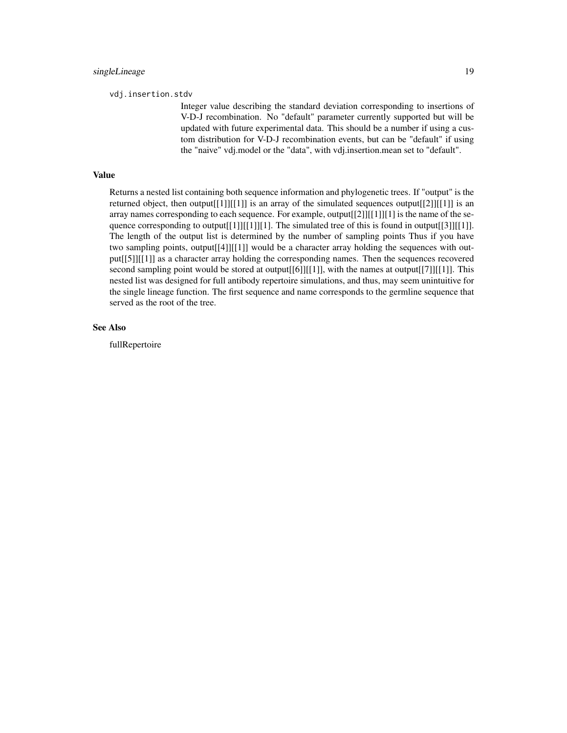vdj.insertion.stdv

Integer value describing the standard deviation corresponding to insertions of V-D-J recombination. No "default" parameter currently supported but will be updated with future experimental data. This should be a number if using a custom distribution for V-D-J recombination events, but can be "default" if using the "naive" vdj.model or the "data", with vdj.insertion.mean set to "default".

# Value

Returns a nested list containing both sequence information and phylogenetic trees. If "output" is the returned object, then output[[1]][[1]] is an array of the simulated sequences output[[2]][[1]] is an array names corresponding to each sequence. For example, output[[2]][[1]][1] is the name of the sequence corresponding to output[[1]][[1]][1]. The simulated tree of this is found in output[[3]][[1]]. The length of the output list is determined by the number of sampling points Thus if you have two sampling points, output[[4]][[1]] would be a character array holding the sequences with output[[5]][[1]] as a character array holding the corresponding names. Then the sequences recovered second sampling point would be stored at output $[[6]][[1]]$ , with the names at output $[[7]][[1]]$ . This nested list was designed for full antibody repertoire simulations, and thus, may seem unintuitive for the single lineage function. The first sequence and name corresponds to the germline sequence that served as the root of the tree.

#### See Also

fullRepertoire